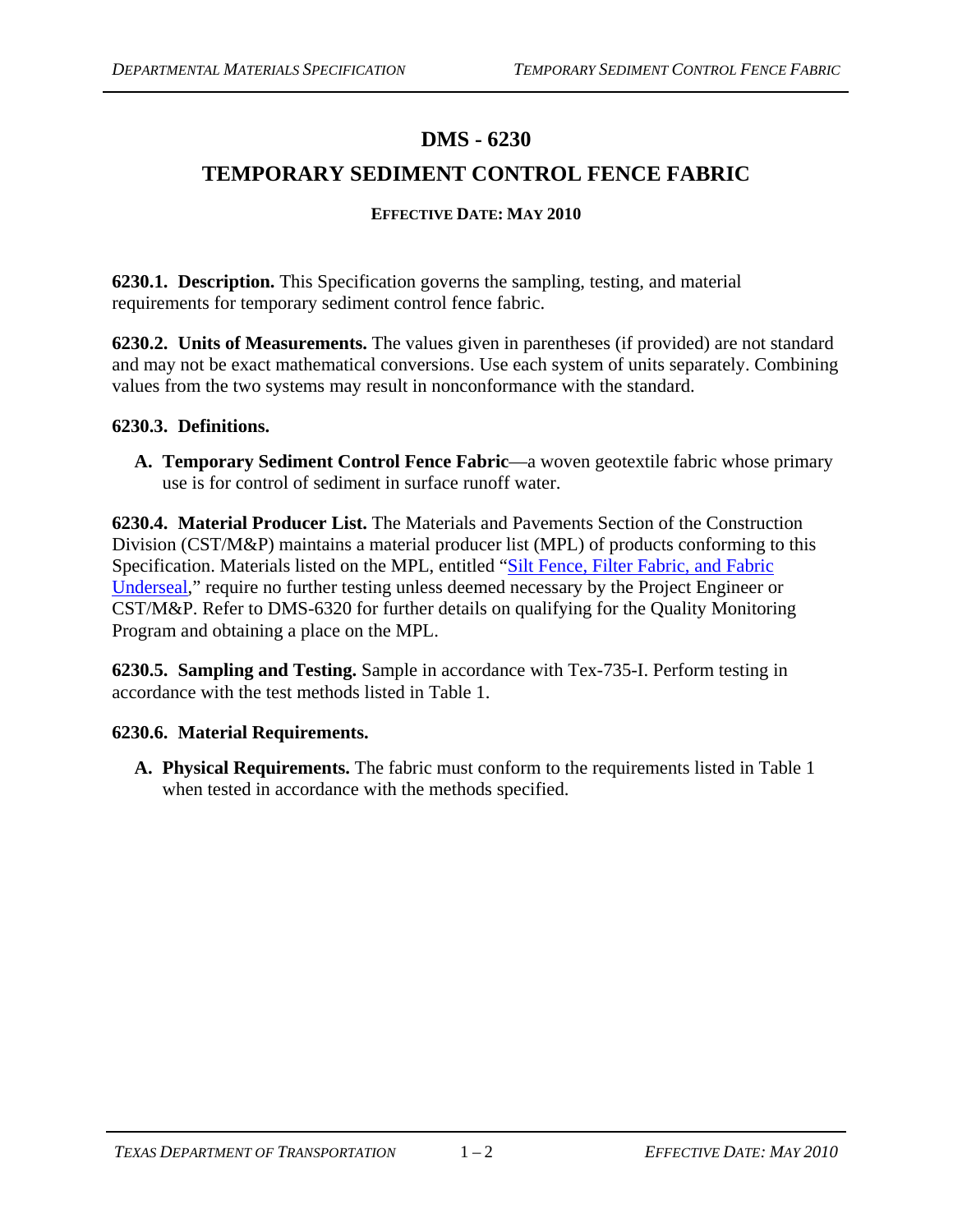# **DMS - 6230**

## **TEMPORARY SEDIMENT CONTROL FENCE FABRIC**

#### **EFFECTIVE DATE: MAY 2010**

**6230.1. Description.** This Specification governs the sampling, testing, and material requirements for temporary sediment control fence fabric.

**6230.2. Units of Measurements.** The values given in parentheses (if provided) are not standard and may not be exact mathematical conversions. Use each system of units separately. Combining values from the two systems may result in nonconformance with the standard.

#### **6230.3. Definitions.**

**A. Temporary Sediment Control Fence Fabric**—a woven geotextile fabric whose primary use is for control of sediment in surface runoff water.

**6230.4. Material Producer List.** The Materials and Pavements Section of the Construction Division (CST/M&P) maintains a material producer list (MPL) of products conforming to this Specification. Materials listed on the MPL, entitled ["Silt Fence, Filter Fabric, and Fabric](ftp://ftp.dot.state.tx.us/pub/txdot-info/cmd/mpl/siltfnce.pdf)  [Underseal,](ftp://ftp.dot.state.tx.us/pub/txdot-info/cmd/mpl/siltfnce.pdf)" require no further testing unless deemed necessary by the Project Engineer or CST/M&P. Refer to DMS-6320 for further details on qualifying for the Quality Monitoring Program and obtaining a place on the MPL.

**6230.5. Sampling and Testing.** Sample in accordance with Tex-735-I. Perform testing in accordance with the test methods listed in Table 1.

### **6230.6. Material Requirements.**

**A. Physical Requirements.** The fabric must conform to the requirements listed in Table 1 when tested in accordance with the methods specified.